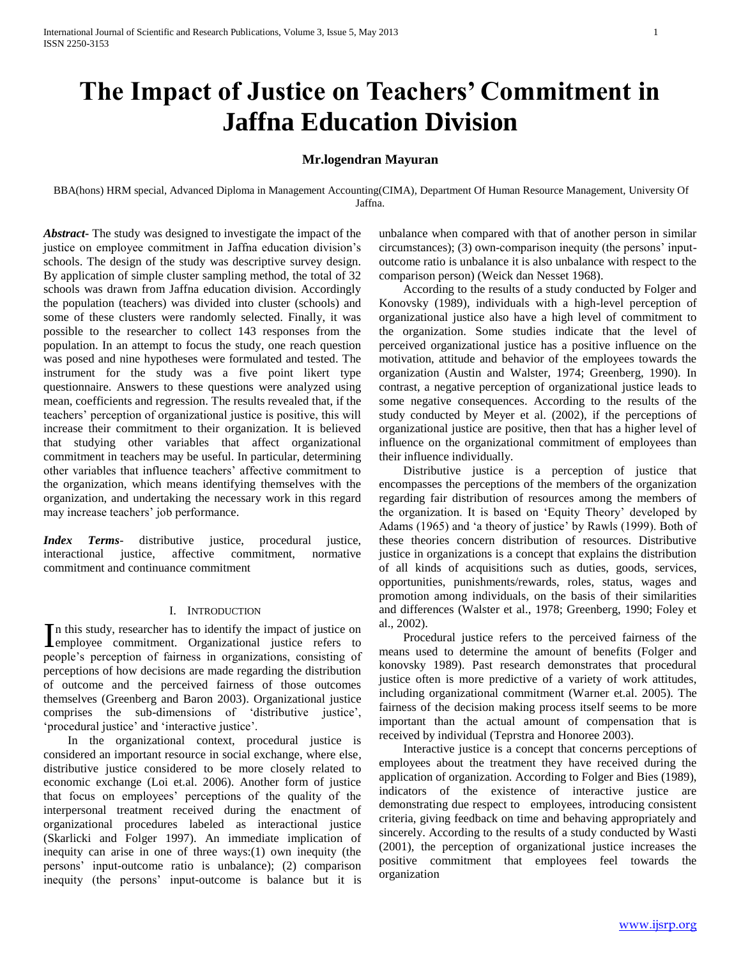# **The Impact of Justice on Teachers' Commitment in Jaffna Education Division**

# **Mr.logendran Mayuran**

BBA(hons) HRM special, Advanced Diploma in Management Accounting(CIMA), Department Of Human Resource Management, University Of Jaffna.

*Abstract***-** The study was designed to investigate the impact of the justice on employee commitment in Jaffna education division's schools. The design of the study was descriptive survey design. By application of simple cluster sampling method, the total of 32 schools was drawn from Jaffna education division. Accordingly the population (teachers) was divided into cluster (schools) and some of these clusters were randomly selected. Finally, it was possible to the researcher to collect 143 responses from the population. In an attempt to focus the study, one reach question was posed and nine hypotheses were formulated and tested. The instrument for the study was a five point likert type questionnaire. Answers to these questions were analyzed using mean, coefficients and regression. The results revealed that, if the teachers' perception of organizational justice is positive, this will increase their commitment to their organization. It is believed that studying other variables that affect organizational commitment in teachers may be useful. In particular, determining other variables that influence teachers' affective commitment to the organization, which means identifying themselves with the organization, and undertaking the necessary work in this regard may increase teachers' job performance.

*Index Terms*- distributive justice, procedural justice, interactional justice, affective commitment, normative commitment and continuance commitment

# I. INTRODUCTION

n this study, researcher has to identify the impact of justice on In this study, researcher has to identify the impact of justice on<br>
lemployee commitment. Organizational justice refers to people's perception of fairness in organizations, consisting of perceptions of how decisions are made regarding the distribution of outcome and the perceived fairness of those outcomes themselves (Greenberg and Baron 2003). Organizational justice comprises the sub-dimensions of 'distributive justice', 'procedural justice' and 'interactive justice'.

 In the organizational context, procedural justice is considered an important resource in social exchange, where else, distributive justice considered to be more closely related to economic exchange (Loi et.al. 2006). Another form of justice that focus on employees' perceptions of the quality of the interpersonal treatment received during the enactment of organizational procedures labeled as interactional justice (Skarlicki and Folger 1997). An immediate implication of inequity can arise in one of three ways:(1) own inequity (the persons' input-outcome ratio is unbalance); (2) comparison inequity (the persons' input-outcome is balance but it is unbalance when compared with that of another person in similar circumstances); (3) own-comparison inequity (the persons' inputoutcome ratio is unbalance it is also unbalance with respect to the comparison person) (Weick dan Nesset 1968).

 According to the results of a study conducted by Folger and Konovsky (1989), individuals with a high-level perception of organizational justice also have a high level of commitment to the organization. Some studies indicate that the level of perceived organizational justice has a positive influence on the motivation, attitude and behavior of the employees towards the organization (Austin and Walster, 1974; Greenberg, 1990). In contrast, a negative perception of organizational justice leads to some negative consequences. According to the results of the study conducted by Meyer et al. (2002), if the perceptions of organizational justice are positive, then that has a higher level of influence on the organizational commitment of employees than their influence individually.

 Distributive justice is a perception of justice that encompasses the perceptions of the members of the organization regarding fair distribution of resources among the members of the organization. It is based on 'Equity Theory' developed by Adams (1965) and 'a theory of justice' by Rawls (1999). Both of these theories concern distribution of resources. Distributive justice in organizations is a concept that explains the distribution of all kinds of acquisitions such as duties, goods, services, opportunities, punishments/rewards, roles, status, wages and promotion among individuals, on the basis of their similarities and differences (Walster et al., 1978; Greenberg, 1990; Foley et al., 2002).

 Procedural justice refers to the perceived fairness of the means used to determine the amount of benefits (Folger and konovsky 1989). Past research demonstrates that procedural justice often is more predictive of a variety of work attitudes, including organizational commitment (Warner et.al. 2005). The fairness of the decision making process itself seems to be more important than the actual amount of compensation that is received by individual (Teprstra and Honoree 2003).

 Interactive justice is a concept that concerns perceptions of employees about the treatment they have received during the application of organization. According to Folger and Bies (1989), indicators of the existence of interactive justice are demonstrating due respect to employees, introducing consistent criteria, giving feedback on time and behaving appropriately and sincerely. According to the results of a study conducted by Wasti (2001), the perception of organizational justice increases the positive commitment that employees feel towards the organization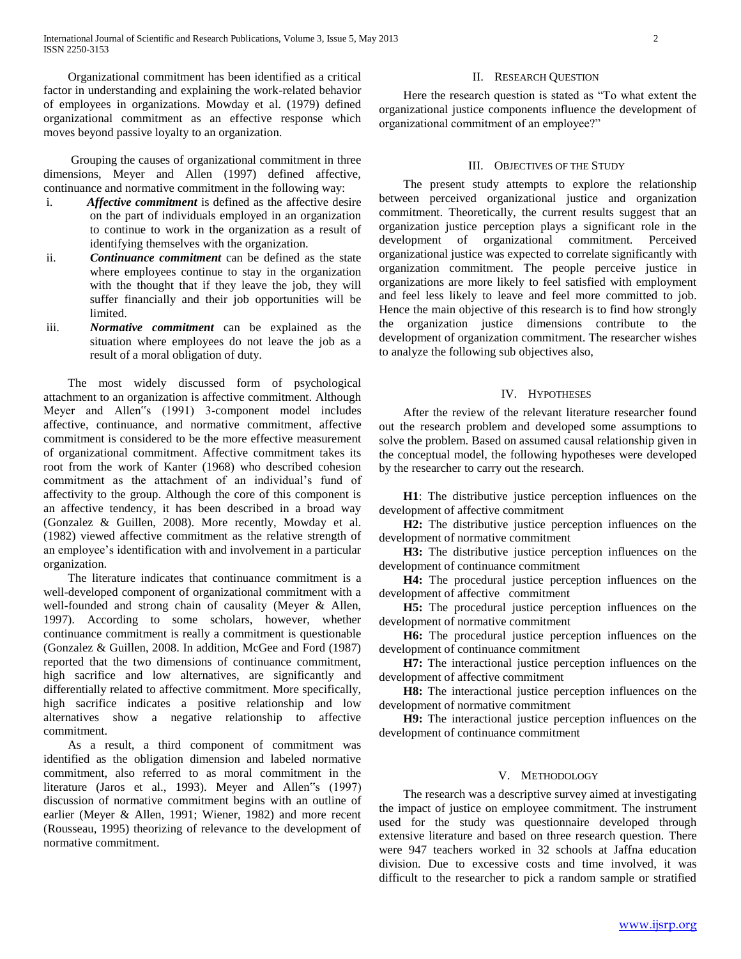Organizational commitment has been identified as a critical factor in understanding and explaining the work-related behavior of employees in organizations. Mowday et al. (1979) defined organizational commitment as an effective response which moves beyond passive loyalty to an organization.

 Grouping the causes of organizational commitment in three dimensions, Meyer and Allen (1997) defined affective, continuance and normative commitment in the following way:

- i. *Affective commitment* is defined as the affective desire on the part of individuals employed in an organization to continue to work in the organization as a result of identifying themselves with the organization.
- ii. *Continuance commitment* can be defined as the state where employees continue to stay in the organization with the thought that if they leave the job, they will suffer financially and their job opportunities will be limited.
- iii. *Normative commitment* can be explained as the situation where employees do not leave the job as a result of a moral obligation of duty.

 The most widely discussed form of psychological attachment to an organization is affective commitment. Although Meyer and Allen"s (1991) 3-component model includes affective, continuance, and normative commitment, affective commitment is considered to be the more effective measurement of organizational commitment. Affective commitment takes its root from the work of Kanter (1968) who described cohesion commitment as the attachment of an individual's fund of affectivity to the group. Although the core of this component is an affective tendency, it has been described in a broad way (Gonzalez & Guillen, 2008). More recently, Mowday et al. (1982) viewed affective commitment as the relative strength of an employee's identification with and involvement in a particular organization.

 The literature indicates that continuance commitment is a well-developed component of organizational commitment with a well-founded and strong chain of causality (Meyer & Allen, 1997). According to some scholars, however, whether continuance commitment is really a commitment is questionable (Gonzalez & Guillen, 2008. In addition, McGee and Ford (1987) reported that the two dimensions of continuance commitment, high sacrifice and low alternatives, are significantly and differentially related to affective commitment. More specifically, high sacrifice indicates a positive relationship and low alternatives show a negative relationship to affective commitment.

 As a result, a third component of commitment was identified as the obligation dimension and labeled normative commitment, also referred to as moral commitment in the literature (Jaros et al., 1993). Meyer and Allen"s (1997) discussion of normative commitment begins with an outline of earlier (Meyer & Allen, 1991; Wiener, 1982) and more recent (Rousseau, 1995) theorizing of relevance to the development of normative commitment.

# II. RESEARCH QUESTION

 Here the research question is stated as "To what extent the organizational justice components influence the development of organizational commitment of an employee?"

# III. OBJECTIVES OF THE STUDY

 The present study attempts to explore the relationship between perceived organizational justice and organization commitment. Theoretically, the current results suggest that an organization justice perception plays a significant role in the development of organizational commitment. Perceived organizational justice was expected to correlate significantly with organization commitment. The people perceive justice in organizations are more likely to feel satisfied with employment and feel less likely to leave and feel more committed to job. Hence the main objective of this research is to find how strongly the organization justice dimensions contribute to the development of organization commitment. The researcher wishes to analyze the following sub objectives also,

# IV. HYPOTHESES

 After the review of the relevant literature researcher found out the research problem and developed some assumptions to solve the problem. Based on assumed causal relationship given in the conceptual model, the following hypotheses were developed by the researcher to carry out the research.

 **H1**: The distributive justice perception influences on the development of affective commitment

 **H2:** The distributive justice perception influences on the development of normative commitment

 **H3:** The distributive justice perception influences on the development of continuance commitment

 **H4:** The procedural justice perception influences on the development of affective commitment

 **H5:** The procedural justice perception influences on the development of normative commitment

 **H6:** The procedural justice perception influences on the development of continuance commitment

 **H7:** The interactional justice perception influences on the development of affective commitment

 **H8:** The interactional justice perception influences on the development of normative commitment

 **H9:** The interactional justice perception influences on the development of continuance commitment

### V. METHODOLOGY

 The research was a descriptive survey aimed at investigating the impact of justice on employee commitment. The instrument used for the study was questionnaire developed through extensive literature and based on three research question. There were 947 teachers worked in 32 schools at Jaffna education division. Due to excessive costs and time involved, it was difficult to the researcher to pick a random sample or stratified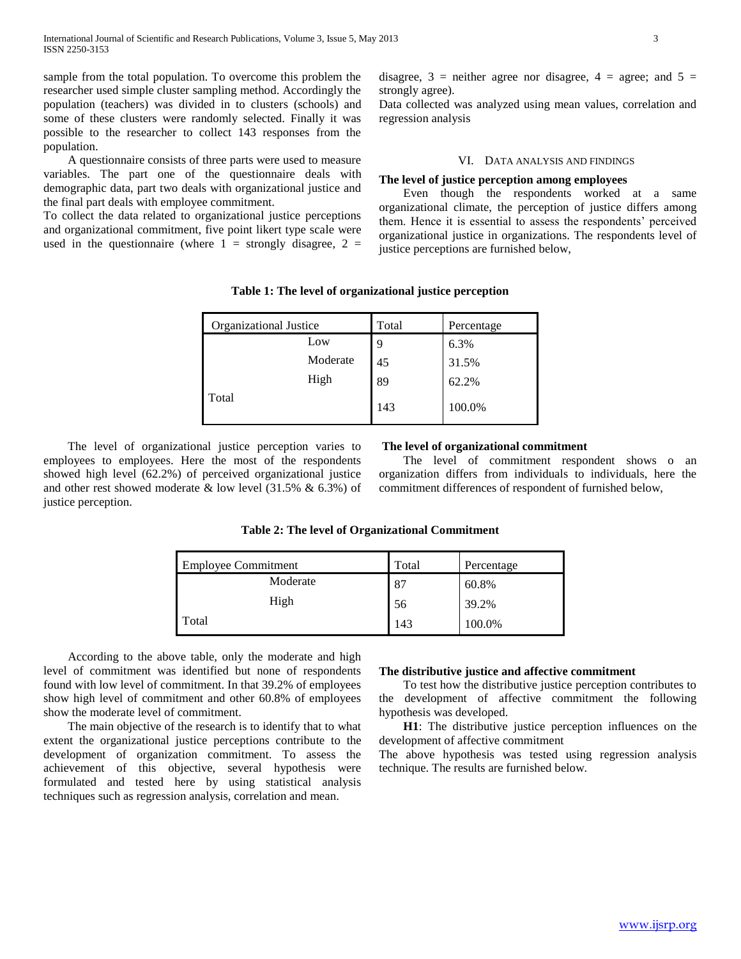sample from the total population. To overcome this problem the researcher used simple cluster sampling method. Accordingly the population (teachers) was divided in to clusters (schools) and some of these clusters were randomly selected. Finally it was possible to the researcher to collect 143 responses from the population.

 A questionnaire consists of three parts were used to measure variables. The part one of the questionnaire deals with demographic data, part two deals with organizational justice and the final part deals with employee commitment.

To collect the data related to organizational justice perceptions and organizational commitment, five point likert type scale were used in the questionnaire (where  $1 =$  strongly disagree,  $2 =$ 

disagree,  $3$  = neither agree nor disagree,  $4$  = agree; and  $5$  = strongly agree).

Data collected was analyzed using mean values, correlation and regression analysis

# VI. DATA ANALYSIS AND FINDINGS

# **The level of justice perception among employees**

 Even though the respondents worked at a same organizational climate, the perception of justice differs among them. Hence it is essential to assess the respondents' perceived organizational justice in organizations. The respondents level of justice perceptions are furnished below,

| Table 1: The level of organizational justice perception |  |  |  |
|---------------------------------------------------------|--|--|--|
|---------------------------------------------------------|--|--|--|

| Organizational Justice | Total | Percentage |
|------------------------|-------|------------|
| Low                    | 9     | 6.3%       |
| Moderate               | 45    | 31.5%      |
| High                   | 89    | 62.2%      |
| Total                  | 143   | 100.0%     |

 The level of organizational justice perception varies to employees to employees. Here the most of the respondents showed high level (62.2%) of perceived organizational justice and other rest showed moderate & low level (31.5% & 6.3%) of justice perception.

### **The level of organizational commitment**

 The level of commitment respondent shows o an organization differs from individuals to individuals, here the commitment differences of respondent of furnished below,

| <b>Employee Commitment</b> | Total | Percentage |
|----------------------------|-------|------------|
| Moderate                   | 87    | 60.8%      |
| High                       | 56    | 39.2%      |
| Total                      | 143   | 100.0%     |

### **Table 2: The level of Organizational Commitment**

 According to the above table, only the moderate and high level of commitment was identified but none of respondents found with low level of commitment. In that 39.2% of employees show high level of commitment and other 60.8% of employees show the moderate level of commitment.

 The main objective of the research is to identify that to what extent the organizational justice perceptions contribute to the development of organization commitment. To assess the achievement of this objective, several hypothesis were formulated and tested here by using statistical analysis techniques such as regression analysis, correlation and mean.

# **The distributive justice and affective commitment**

 To test how the distributive justice perception contributes to the development of affective commitment the following hypothesis was developed.

 **H1**: The distributive justice perception influences on the development of affective commitment

The above hypothesis was tested using regression analysis technique. The results are furnished below.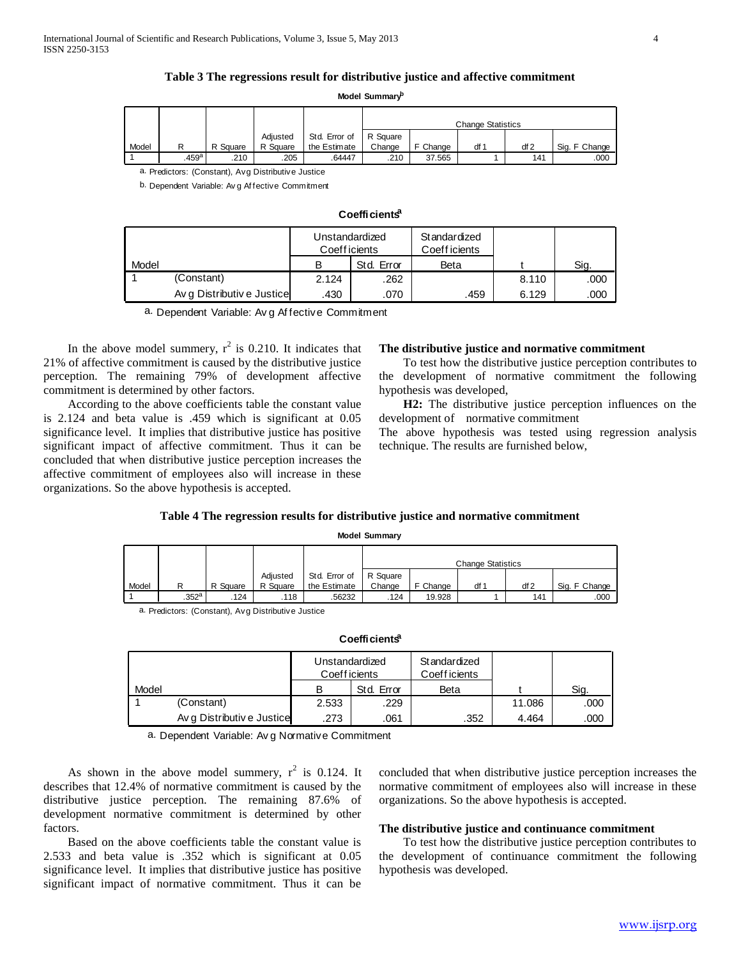# **Table 3 The regressions result for distributive justice and affective commitment**

**Model Summary<sup>b</sup>**

|       | <b>NOGEL SUMMINARY</b>                           |          |                                                     |               |                          |          |      |     |               |  |  |  |
|-------|--------------------------------------------------|----------|-----------------------------------------------------|---------------|--------------------------|----------|------|-----|---------------|--|--|--|
|       |                                                  |          |                                                     |               | <b>Change Statistics</b> |          |      |     |               |  |  |  |
|       |                                                  |          | Adjusted                                            | Std. Error of | R Square                 |          |      |     |               |  |  |  |
| Model | R                                                | R Square | R Square                                            | the Estimate  | Change                   | F Change | df 1 | df2 | Sig. F Change |  |  |  |
|       | .459 <sup>a</sup>                                | .210     | .205                                                | .64447        | .210                     | 37.565   |      | 141 | .000          |  |  |  |
|       |                                                  |          | a. Predictors: (Constant), Avg Distributive Justice |               |                          |          |      |     |               |  |  |  |
|       | b. Dependent Variable: Av g Affective Commitment |          |                                                     |               |                          |          |      |     |               |  |  |  |
|       |                                                  |          |                                                     |               |                          |          |      |     |               |  |  |  |

|       | Coefficients <sup>a</sup>  |                                 |            |                               |       |      |  |  |  |  |  |
|-------|----------------------------|---------------------------------|------------|-------------------------------|-------|------|--|--|--|--|--|
|       |                            | Unstandardized<br>Coeff icients |            | Standardized<br>Coeff icients |       |      |  |  |  |  |  |
| Model |                            | в                               | Std. Error | Beta                          |       | Sig. |  |  |  |  |  |
|       | (Constant)                 | 2.124                           | .262       |                               | 8.110 | .000 |  |  |  |  |  |
|       | Av q Distributiv e Justice | .430                            | .070       | .459                          | 6.129 | .000 |  |  |  |  |  |
|       | .                          |                                 |            |                               |       |      |  |  |  |  |  |

a. Dependent Variable: Av g Af fective Commitment

In the above model summery,  $r^2$  is 0.210. It indicates that 21% of affective commitment is caused by the distributive justice perception. The remaining 79% of development affective commitment is determined by other factors.

 According to the above coefficients table the constant value is 2.124 and beta value is .459 which is significant at 0.05 significance level. It implies that distributive justice has positive significant impact of affective commitment. Thus it can be concluded that when distributive justice perception increases the affective commitment of employees also will increase in these organizations. So the above hypothesis is accepted.

# **The distributive justice and normative commitment**

 To test how the distributive justice perception contributes to the development of normative commitment the following hypothesis was developed,

 **H2:** The distributive justice perception influences on the development of normative commitment

The above hypothesis was tested using regression analysis technique. The results are furnished below,

# **Table 4 The regression results for distributive justice and normative commitment**

#### **Model Summary**

|       | <b>IVIUUT</b> JUIIIIIIIII Y |          |          |               |                          |          |      |     |               |  |
|-------|-----------------------------|----------|----------|---------------|--------------------------|----------|------|-----|---------------|--|
|       |                             |          |          |               | <b>Change Statistics</b> |          |      |     |               |  |
|       |                             |          | Adiusted | Std. Error of | R Square                 |          |      |     |               |  |
| Model | R                           | R Square | R Square | the Estimate  | Change                   | F Change | df 1 | df2 | Sig. F Change |  |
|       | $.352$ <sup>a</sup>         | .124     | .118     | .56232        | .124                     | 19.928   |      | 141 | .000          |  |

a. Predictors: (Constant), Avg Distributive Justice

|       | Coefficients <sup>a</sup>  |                                 |            |                               |        |      |  |  |  |  |  |
|-------|----------------------------|---------------------------------|------------|-------------------------------|--------|------|--|--|--|--|--|
|       |                            | Unstandardized<br>Coeff icients |            | Standardized<br>Coeff icients |        |      |  |  |  |  |  |
| Model |                            | в                               | Std. Error | Beta                          |        | Sig. |  |  |  |  |  |
|       | (Constant)                 | 2.533                           | .229       |                               | 11.086 | .000 |  |  |  |  |  |
|       | Av g Distributiv e Justice | .273                            | .061       | .352                          | 4.464  | .000 |  |  |  |  |  |
|       |                            |                                 |            |                               |        |      |  |  |  |  |  |

a. Dependent Variable: Av g Normative Commitment

As shown in the above model summery,  $r^2$  is 0.124. It describes that 12.4% of normative commitment is caused by the distributive justice perception. The remaining 87.6% of development normative commitment is determined by other factors.

 Based on the above coefficients table the constant value is 2.533 and beta value is .352 which is significant at 0.05 significance level. It implies that distributive justice has positive significant impact of normative commitment. Thus it can be

concluded that when distributive justice perception increases the normative commitment of employees also will increase in these organizations. So the above hypothesis is accepted.

# **The distributive justice and continuance commitment**

 To test how the distributive justice perception contributes to the development of continuance commitment the following hypothesis was developed.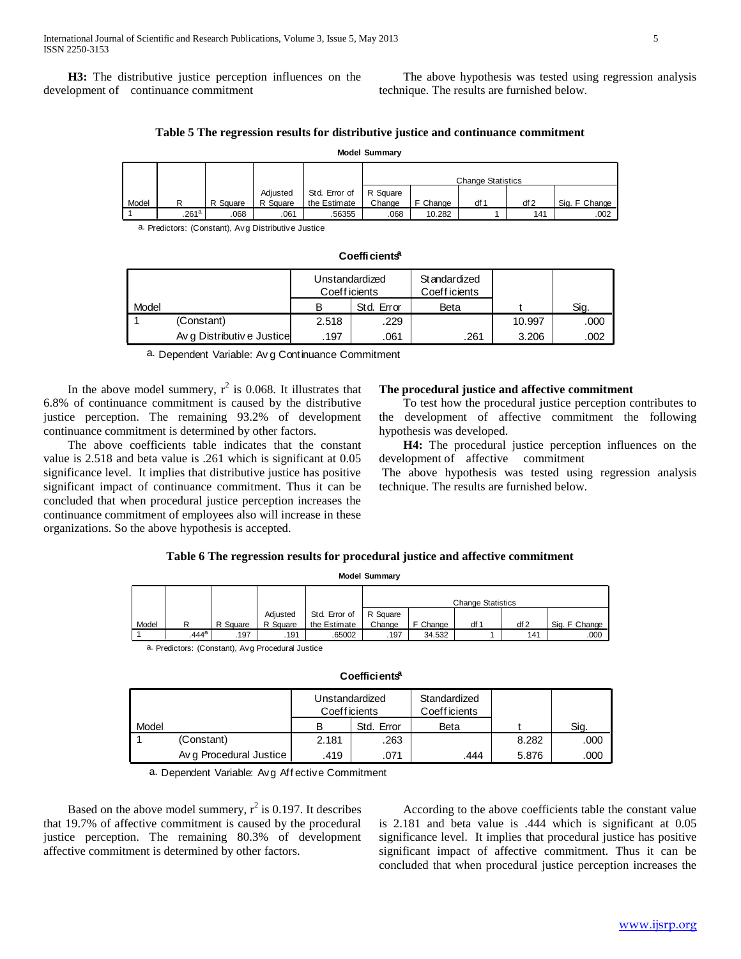**H3:** The distributive justice perception influences on the development of continuance commitment

 The above hypothesis was tested using regression analysis technique. The results are furnished below.

# **Table 5 The regression results for distributive justice and continuance commitment**

|       | <b>Model Summary</b> |          |          |               |                          |          |      |     |               |  |
|-------|----------------------|----------|----------|---------------|--------------------------|----------|------|-----|---------------|--|
|       |                      |          |          |               | <b>Change Statistics</b> |          |      |     |               |  |
|       |                      |          | Adiusted | Std. Error of | R Square                 |          |      |     |               |  |
| Model | R                    | R Square | R Square | the Estimate  | Change                   | F Change | df 1 | df2 | Sig. F Change |  |
|       | .261a                | .068     | .061     | .56355        | .068                     | 10.282   |      | 141 | .002          |  |

a. Predictors: (Constant), Avg Distributive Justice

|       | Coefficients <sup>a</sup>  |                                 |            |                                      |        |      |  |  |  |  |  |
|-------|----------------------------|---------------------------------|------------|--------------------------------------|--------|------|--|--|--|--|--|
|       |                            | Unstandardized<br>Coeff icients |            | <b>Standardized</b><br>Coeff icients |        |      |  |  |  |  |  |
| Model |                            | в                               | Std. Error | Beta                                 |        | Sig. |  |  |  |  |  |
|       | (Constant)                 | 2.518                           | .229       |                                      | 10.997 | .000 |  |  |  |  |  |
|       | Av q Distributiv e Justice | .197                            | .061       | .261                                 | 3.206  | .002 |  |  |  |  |  |
|       |                            | $\sim$ $\sim$                   |            |                                      |        |      |  |  |  |  |  |

a. Dependent Variable: Av g Continuance Commitment

In the above model summery,  $r^2$  is 0.068. It illustrates that 6.8% of continuance commitment is caused by the distributive justice perception. The remaining 93.2% of development continuance commitment is determined by other factors.

 The above coefficients table indicates that the constant value is 2.518 and beta value is .261 which is significant at 0.05 significance level. It implies that distributive justice has positive significant impact of continuance commitment. Thus it can be concluded that when procedural justice perception increases the continuance commitment of employees also will increase in these organizations. So the above hypothesis is accepted.

#### **The procedural justice and affective commitment**

 To test how the procedural justice perception contributes to the development of affective commitment the following hypothesis was developed.

 **H4:** The procedural justice perception influences on the development of affective commitment

The above hypothesis was tested using regression analysis technique. The results are furnished below.

# **Table 6 The regression results for procedural justice and affective commitment**

**Model Summary**

|       | <b>MODEL SUMMARY</b> |          |          |               |                          |          |      |      |               |  |
|-------|----------------------|----------|----------|---------------|--------------------------|----------|------|------|---------------|--|
|       |                      |          |          |               |                          |          |      |      |               |  |
|       |                      |          |          |               | <b>Change Statistics</b> |          |      |      |               |  |
|       |                      |          | Adiusted | Std. Error of | R Square                 |          |      |      |               |  |
| Model | R                    | R Square | R Square | the Estimate  | Change                   | F Change | df 1 | df 2 | Sig. F Change |  |
|       | .444 <sup>a</sup>    | .197     | .191     | .65002        | .197                     | 34.532   |      | 141  | .000          |  |

a. Predictors: (Constant), Avg Procedural Justice

# **Coefficients<sup>a</sup>**

|       | Coefficients <sup>a</sup> |                                 |            |                               |       |      |  |  |  |  |  |
|-------|---------------------------|---------------------------------|------------|-------------------------------|-------|------|--|--|--|--|--|
|       |                           | Unstandardized<br>Coeff icients |            | Standardized<br>Coeff icients |       |      |  |  |  |  |  |
| Model |                           | в                               | Std. Error | Beta                          |       | Sig. |  |  |  |  |  |
|       | (Constant)                | 2.181                           | .263       |                               | 8.282 | .000 |  |  |  |  |  |
|       | Av g Procedural Justice   | .419                            | .071       | .444                          | 5.876 | .000 |  |  |  |  |  |
| - -   |                           |                                 |            |                               |       |      |  |  |  |  |  |

a. Dependent Variable: Avg Aff ective Commitment

Based on the above model summery,  $r^2$  is 0.197. It describes that 19.7% of affective commitment is caused by the procedural justice perception. The remaining 80.3% of development affective commitment is determined by other factors.

 According to the above coefficients table the constant value is 2.181 and beta value is .444 which is significant at 0.05 significance level. It implies that procedural justice has positive significant impact of affective commitment. Thus it can be concluded that when procedural justice perception increases the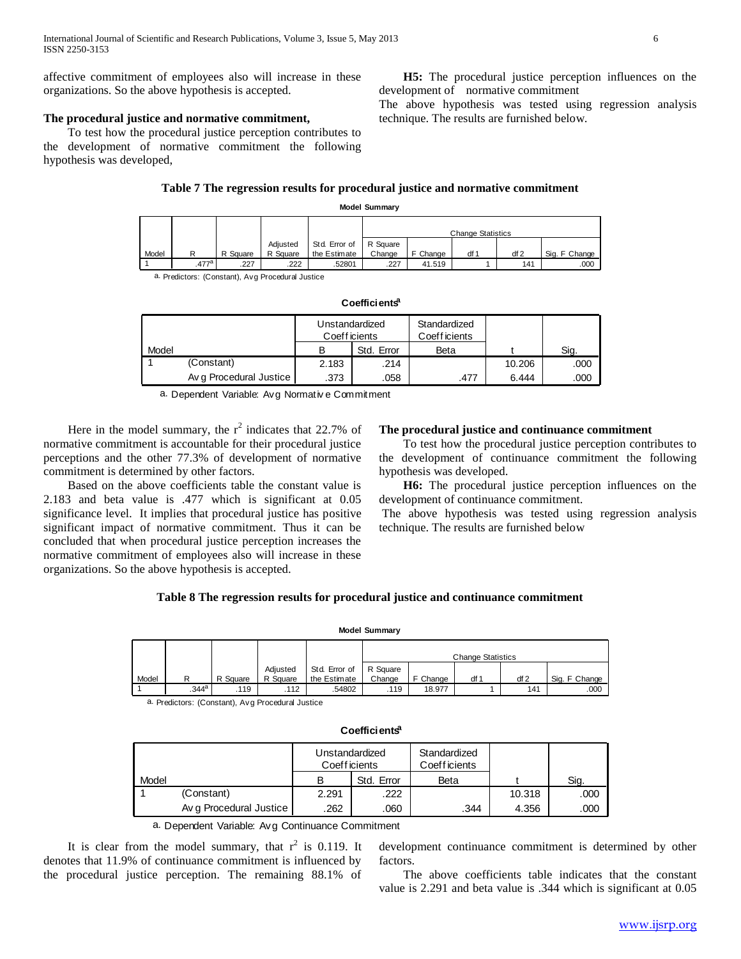affective commitment of employees also will increase in these organizations. So the above hypothesis is accepted.

# **The procedural justice and normative commitment,**

 To test how the procedural justice perception contributes to the development of normative commitment the following hypothesis was developed,

# **Table 7 The regression results for procedural justice and normative commitment Model Summary**

|       | <b>NOUTH</b> Summary |          |          |               |                          |          |      |     |               |  |
|-------|----------------------|----------|----------|---------------|--------------------------|----------|------|-----|---------------|--|
|       |                      |          |          |               |                          |          |      |     |               |  |
|       |                      |          |          |               | <b>Change Statistics</b> |          |      |     |               |  |
|       |                      |          | Adjusted | Std. Error of | R Square                 |          |      |     |               |  |
| Model | R                    | R Square | R Square | the Estimate  | Change                   | F Change | df 1 | df2 | Sig. F Change |  |
|       | .477 <sup>a</sup>    | .227     | .222     | .52801        | .227                     | 41.519   |      | 141 | .000          |  |
|       |                      |          |          |               |                          |          |      |     |               |  |

a. Predictors: (Constant), Avg Procedural Justice

|       | Coefficients <sup>a</sup> |               |                |                               |        |      |  |  |  |  |  |  |  |
|-------|---------------------------|---------------|----------------|-------------------------------|--------|------|--|--|--|--|--|--|--|
|       |                           | Coeff icients | Unstandardized | Standardized<br>Coeff icients |        |      |  |  |  |  |  |  |  |
| Model |                           |               | Std. Error     | Beta                          |        | Sig. |  |  |  |  |  |  |  |
|       | (Constant)                | 2.183         | .214           |                               | 10.206 | .000 |  |  |  |  |  |  |  |
|       | Av q Procedural Justice   | .373          | .058           | .477                          | 6.444  | .000 |  |  |  |  |  |  |  |
| - -   |                           |               | $\sim$         |                               |        |      |  |  |  |  |  |  |  |

a. Dependent Variable: Avg Normativ e Commitment

Here in the model summary, the  $r^2$  indicates that 22.7% of normative commitment is accountable for their procedural justice perceptions and the other 77.3% of development of normative commitment is determined by other factors.

 Based on the above coefficients table the constant value is 2.183 and beta value is .477 which is significant at 0.05 significance level. It implies that procedural justice has positive significant impact of normative commitment. Thus it can be concluded that when procedural justice perception increases the normative commitment of employees also will increase in these organizations. So the above hypothesis is accepted.

#### **The procedural justice and continuance commitment**

 To test how the procedural justice perception contributes to the development of continuance commitment the following hypothesis was developed.

 **H6:** The procedural justice perception influences on the development of continuance commitment.

The above hypothesis was tested using regression analysis technique. The results are furnished below

# **Table 8 The regression results for procedural justice and continuance commitment**

| <b>Model Summary</b> |                   |          |          |               |          |          |                          |      |               |  |  |
|----------------------|-------------------|----------|----------|---------------|----------|----------|--------------------------|------|---------------|--|--|
|                      |                   |          |          |               |          |          | <b>Change Statistics</b> |      |               |  |  |
|                      |                   |          | Adjusted | Std. Error of | R Square |          |                          |      |               |  |  |
| Model                | R                 | R Square | R Square | the Estimate  | Change   | F Change | df 1                     | df 2 | Sig. F Change |  |  |
|                      | .344 <sup>a</sup> | .119     | .112     | .54802        | .119     | 18.977   |                          | 141  | .000          |  |  |

a. Predictors: (Constant), Avg Procedural Justice

|       | Coefficients <sup>a</sup> |                                 |            |                               |        |      |  |  |  |  |  |  |
|-------|---------------------------|---------------------------------|------------|-------------------------------|--------|------|--|--|--|--|--|--|
|       |                           | Unstandardized<br>Coeff icients |            | Standardized<br>Coeff icients |        |      |  |  |  |  |  |  |
| Model |                           | в                               | Std. Error | Beta                          |        | Sig. |  |  |  |  |  |  |
|       | (Constant)                | 2.291                           | .222       |                               | 10.318 | .000 |  |  |  |  |  |  |
|       | Av g Procedural Justice   | .262                            | .060       | .344                          | 4.356  | .000 |  |  |  |  |  |  |
|       | .                         | $\sim$ $\sim$                   |            |                               |        |      |  |  |  |  |  |  |

a. Dependent Variable: Avg Continuance Commitment

It is clear from the model summary, that  $r^2$  is 0.119. It denotes that 11.9% of continuance commitment is influenced by the procedural justice perception. The remaining 88.1% of

development continuance commitment is determined by other factors.

 The above coefficients table indicates that the constant value is 2.291 and beta value is .344 which is significant at 0.05

 **H5:** The procedural justice perception influences on the development of normative commitment

The above hypothesis was tested using regression analysis technique. The results are furnished below.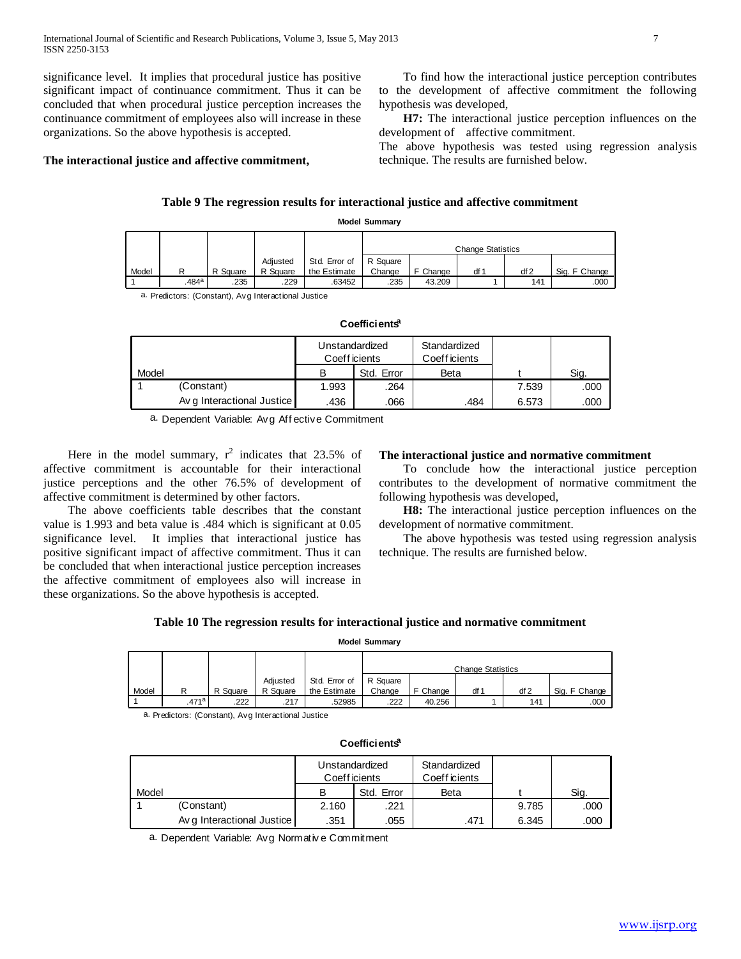significance level. It implies that procedural justice has positive significant impact of continuance commitment. Thus it can be concluded that when procedural justice perception increases the continuance commitment of employees also will increase in these organizations. So the above hypothesis is accepted.

**The interactional justice and affective commitment,**

 To find how the interactional justice perception contributes to the development of affective commitment the following hypothesis was developed,

 **H7:** The interactional justice perception influences on the development of affective commitment.

The above hypothesis was tested using regression analysis technique. The results are furnished below.

# **Table 9 The regression results for interactional justice and affective commitment**

# **Model Summary**

|       | <b>MODEL SUMMARY</b> |          |          |               |          |          |                          |      |               |  |  |  |
|-------|----------------------|----------|----------|---------------|----------|----------|--------------------------|------|---------------|--|--|--|
|       |                      |          |          |               |          |          |                          |      |               |  |  |  |
|       |                      |          |          |               |          |          | <b>Change Statistics</b> |      |               |  |  |  |
|       |                      |          | Adiusted | Std. Error of | R Square |          |                          |      |               |  |  |  |
| Model | R                    | R Square | R Square | the Estimate  | Change   | F Change | df ·                     | df 2 | Sig. F Change |  |  |  |
|       | .484 <sup>a</sup>    | .235     | .229     | 63452         | .235     | 43.209   |                          | 141  | .000          |  |  |  |

a. Predictors: (Constant), Avg Interactional Justice

|       | Coefficients <sup>a</sup>  |                                 |            |                               |       |      |  |  |  |  |  |  |  |
|-------|----------------------------|---------------------------------|------------|-------------------------------|-------|------|--|--|--|--|--|--|--|
|       |                            | Unstandardized<br>Coeff icients |            | Standardized<br>Coeff icients |       |      |  |  |  |  |  |  |  |
| Model |                            | в                               | Std. Error | Beta                          |       | Sig. |  |  |  |  |  |  |  |
|       | (Constant)                 | 1.993                           | .264       |                               | 7.539 | .000 |  |  |  |  |  |  |  |
|       | Av q Interactional Justice | .436                            | .066       | .484                          | 6.573 | .000 |  |  |  |  |  |  |  |
| - -   |                            |                                 |            |                               |       |      |  |  |  |  |  |  |  |

a. Dependent Variable: Avg Aff ective Commitment

Here in the model summary,  $r^2$  indicates that 23.5% of affective commitment is accountable for their interactional justice perceptions and the other 76.5% of development of affective commitment is determined by other factors.

 The above coefficients table describes that the constant value is 1.993 and beta value is .484 which is significant at 0.05 significance level. It implies that interactional justice has positive significant impact of affective commitment. Thus it can be concluded that when interactional justice perception increases the affective commitment of employees also will increase in these organizations. So the above hypothesis is accepted.

# **The interactional justice and normative commitment**

 To conclude how the interactional justice perception contributes to the development of normative commitment the following hypothesis was developed,

 **H8:** The interactional justice perception influences on the development of normative commitment.

 The above hypothesis was tested using regression analysis technique. The results are furnished below.

#### **Table 10 The regression results for interactional justice and normative commitment**

**Model Summary**

|       | <b>MODEL SUMMARY</b> |          |          |               |          |          |                          |      |               |  |  |  |
|-------|----------------------|----------|----------|---------------|----------|----------|--------------------------|------|---------------|--|--|--|
|       |                      |          |          |               |          |          |                          |      |               |  |  |  |
|       |                      |          |          |               |          |          | <b>Change Statistics</b> |      |               |  |  |  |
|       |                      |          | Adiusted | Std. Error of | R Square |          |                          |      |               |  |  |  |
| Model | R                    | R Square | R Square | the Estimate  | Change   | F Change | df '                     | df 2 | Sig. F Change |  |  |  |
|       | .471 <sup>a</sup>    | 222      | .217     | .52985        | 222      | 40.256   |                          | 141  | .000          |  |  |  |

a. Predictors: (Constant), Avg Interactional Justice

|       | Coefficients <sup>a</sup>  |                                 |            |                               |       |      |  |  |  |  |  |  |
|-------|----------------------------|---------------------------------|------------|-------------------------------|-------|------|--|--|--|--|--|--|
|       |                            | Unstandardized<br>Coeff icients |            | Standardized<br>Coeff icients |       |      |  |  |  |  |  |  |
| Model |                            | B                               | Std. Error | Beta                          |       | Sig. |  |  |  |  |  |  |
|       | (Constant)                 | 2.160                           | .221       |                               | 9.785 | .000 |  |  |  |  |  |  |
|       | Av g Interactional Justice | .351                            | .055       | .471                          | 6.345 | .000 |  |  |  |  |  |  |
| _ _   |                            |                                 |            |                               |       |      |  |  |  |  |  |  |

a. Dependent Variable: Avg Normativ e Commitment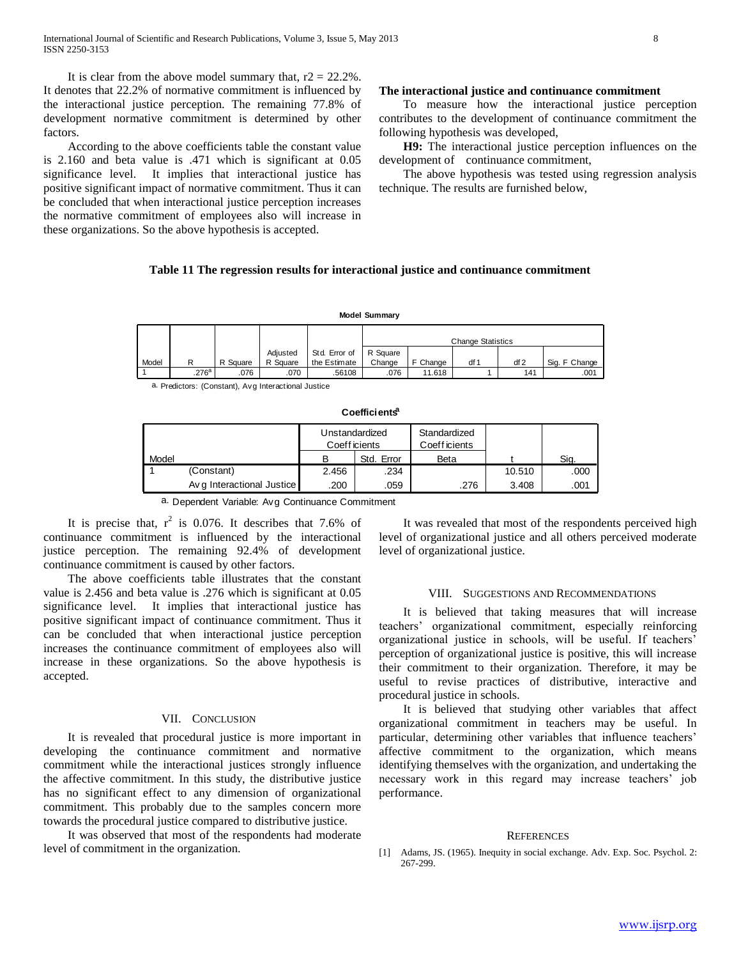It is clear from the above model summary that,  $r2 = 22.2\%$ . It denotes that 22.2% of normative commitment is influenced by the interactional justice perception. The remaining 77.8% of development normative commitment is determined by other factors.

 According to the above coefficients table the constant value is 2.160 and beta value is .471 which is significant at 0.05 significance level. It implies that interactional justice has positive significant impact of normative commitment. Thus it can be concluded that when interactional justice perception increases the normative commitment of employees also will increase in these organizations. So the above hypothesis is accepted.

# **The interactional justice and continuance commitment**

 To measure how the interactional justice perception contributes to the development of continuance commitment the following hypothesis was developed,

 **H9:** The interactional justice perception influences on the development of continuance commitment,

 The above hypothesis was tested using regression analysis technique. The results are furnished below,

#### **Table 11 The regression results for interactional justice and continuance commitment**

|       | <b>Model Summary</b> |          |                      |                               |                    |          |                          |      |               |  |  |  |  |
|-------|----------------------|----------|----------------------|-------------------------------|--------------------|----------|--------------------------|------|---------------|--|--|--|--|
|       |                      |          |                      |                               |                    |          | <b>Change Statistics</b> |      |               |  |  |  |  |
| Model | R                    | R Square | Adiusted<br>R Square | Std. Error of<br>the Estimate | R Square<br>Change | F Change | df 1                     | df 2 | Sig. F Change |  |  |  |  |
|       | .276a                | .076     | .070                 | .56108                        | .076               | 11.618   |                          | 141  | .001          |  |  |  |  |

a. Predictors: (Constant), Avg Interactional Justice

|               | Coefficients <sup>a</sup>  |                                 |            |                               |        |      |  |  |  |  |  |  |
|---------------|----------------------------|---------------------------------|------------|-------------------------------|--------|------|--|--|--|--|--|--|
|               |                            | Unstandardized<br>Coeff icients |            | Standardized<br>Coeff icients |        |      |  |  |  |  |  |  |
| Model         |                            | в                               | Std. Error | Beta                          |        | Sig. |  |  |  |  |  |  |
|               | (Constant)                 | 2.456                           | .234       |                               | 10.510 | .000 |  |  |  |  |  |  |
|               | Av q Interactional Justice | .200                            | .059       | .276                          | 3.408  | .001 |  |  |  |  |  |  |
| $\sim$ $\sim$ |                            | $\sim$                          | $\sim$     |                               |        |      |  |  |  |  |  |  |

a. Dependent Variable: Avg Continuance Commitment

It is precise that,  $r^2$  is 0.076. It describes that 7.6% of continuance commitment is influenced by the interactional justice perception. The remaining 92.4% of development continuance commitment is caused by other factors.

 The above coefficients table illustrates that the constant value is 2.456 and beta value is .276 which is significant at 0.05 significance level. It implies that interactional justice has positive significant impact of continuance commitment. Thus it can be concluded that when interactional justice perception increases the continuance commitment of employees also will increase in these organizations. So the above hypothesis is accepted.

#### VII. CONCLUSION

 It is revealed that procedural justice is more important in developing the continuance commitment and normative commitment while the interactional justices strongly influence the affective commitment. In this study, the distributive justice has no significant effect to any dimension of organizational commitment. This probably due to the samples concern more towards the procedural justice compared to distributive justice.

 It was observed that most of the respondents had moderate level of commitment in the organization.

 It was revealed that most of the respondents perceived high level of organizational justice and all others perceived moderate level of organizational justice.

### VIII. SUGGESTIONS AND RECOMMENDATIONS

 It is believed that taking measures that will increase teachers' organizational commitment, especially reinforcing organizational justice in schools, will be useful. If teachers' perception of organizational justice is positive, this will increase their commitment to their organization. Therefore, it may be useful to revise practices of distributive, interactive and procedural justice in schools.

 It is believed that studying other variables that affect organizational commitment in teachers may be useful. In particular, determining other variables that influence teachers' affective commitment to the organization, which means identifying themselves with the organization, and undertaking the necessary work in this regard may increase teachers' job performance.

#### **REFERENCES**

[1] Adams, JS. (1965). Inequity in social exchange. Adv. Exp. Soc. Psychol. 2: 267-299.